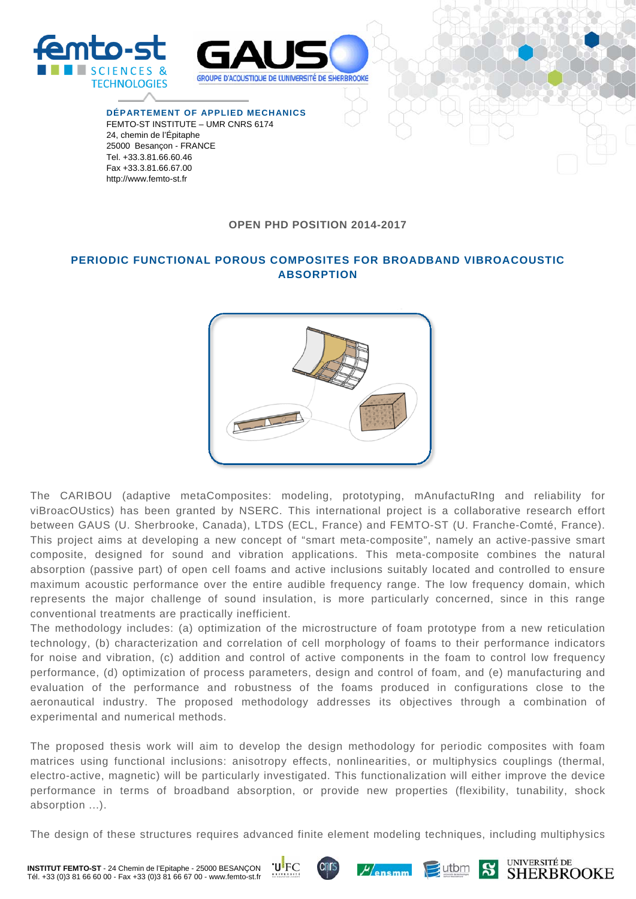

**DÉPARTEMENT OF APPLIED MECHANICS**  FEMTO-ST INSTITUTE – UMR CNRS 6174 24, chemin de l'Épitaphe 25000 Besançon - FRANCE Tel. +33.3.81.66.60.46 Fax +33.3.81.66.67.00 http://www.femto-st.fr

CIENCES &

**TECHNOLOGIES** 

## **OPEN PHD POSITION 2014-2017**

## **PERIODIC FUNCTIONAL POROUS COMPOSITES FOR BROADBAND VIBROACOUSTIC ABSORPTION**



The CARIBOU (adaptive metaComposites: modeling, prototyping, mAnufactuRIng and reliability for viBroacOUstics) has been granted by NSERC. This international project is a collaborative research effort between GAUS (U. Sherbrooke, Canada), LTDS (ECL, France) and FEMTO-ST (U. Franche-Comté, France). This project aims at developing a new concept of "smart meta-composite", namely an active-passive smart composite, designed for sound and vibration applications. This meta-composite combines the natural absorption (passive part) of open cell foams and active inclusions suitably located and controlled to ensure maximum acoustic performance over the entire audible frequency range. The low frequency domain, which represents the major challenge of sound insulation, is more particularly concerned, since in this range conventional treatments are practically inefficient.

The methodology includes: (a) optimization of the microstructure of foam prototype from a new reticulation technology, (b) characterization and correlation of cell morphology of foams to their performance indicators for noise and vibration, (c) addition and control of active components in the foam to control low frequency performance, (d) optimization of process parameters, design and control of foam, and (e) manufacturing and evaluation of the performance and robustness of the foams produced in configurations close to the aeronautical industry. The proposed methodology addresses its objectives through a combination of experimental and numerical methods.

The proposed thesis work will aim to develop the design methodology for periodic composites with foam matrices using functional inclusions: anisotropy effects, nonlinearities, or multiphysics couplings (thermal, electro-active, magnetic) will be particularly investigated. This functionalization will either improve the device performance in terms of broadband absorption, or provide new properties (flexibility, tunability, shock absorption ...).

The design of these structures requires advanced finite element modeling techniques, including multiphysics